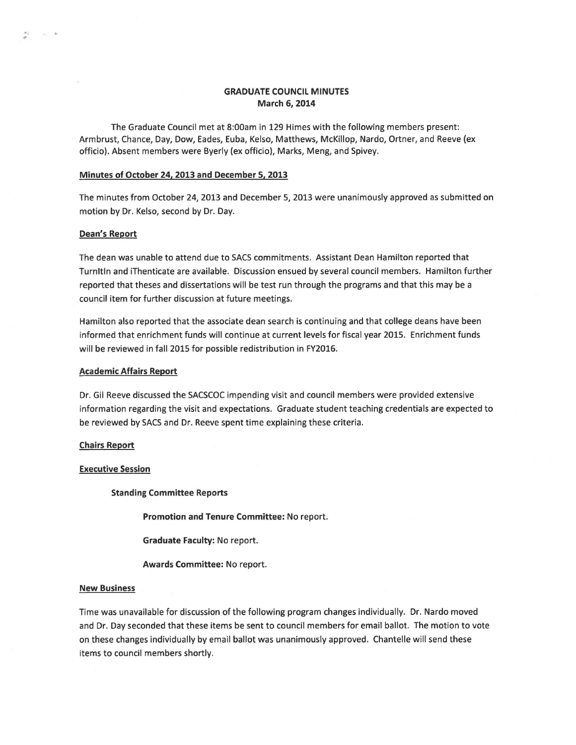# **GRADUATE COUNCIL MINUTES March 6, 2014**

The Graduate Council met at 8:00am in 129 Himes with the following members present: Armbrust, Chance, Day, Dow, Eades, Euba, Kelso, Matthews, McKillop, Nardo, Ortner, and Reeve (ex officio). Absent members were Byerly (ex officio), Marks, Meng, and Spivey.

# **Minutes of October 24, 2013 and December 5, 2013**

The minutes from October 24, 2013 and December 5, 2013 were unanimously approved as submitted on motion by Dr. Kelso, second by Dr. Day.

# **Dean's Report**

書 - 8 - 8

The dean was unable to attend due to SACS commitments. Assistant Dean Hamilton reported that Turnltln and iThenticate are available. Discussion ensued by several council members. Hamilton further reported that theses and dissertations will be test run through the programs and that this may be a council item for further discussion at future meetings.

Hamilton also reported that the associate dean search is continuing and that college deans have been informed that enrichment funds will continue at current levels for fiscal year 2015. Enrichment funds will be reviewed in fall 2015 for possible redistribution in FY2016.

## **Academic Affairs Report**

Dr. Gil Reeve discussed the SACSCOC impending visit and council members were provided extensive information regarding the visit and expectations. Graduate student teaching credentials are expected to be reviewed by SACS and Dr. Reeve spent time explaining these criteria.

## **Chairs Report**

### **Executive Session**

**Standing Committee Reports** 

**Promotion and Tenure Committee:** No report.

**Graduate Faculty:** No report.

**Awards Committee:** No report.

### **New Business**

Time was unavailable for discussion of the following program changes individually. Dr. Nardo moved and Dr. Day seconded that these items be sent to council members for email ballot. The motion to vote on these changes individually by email ballot was unanimously approved. Chantelle will send these items to council members shortly.